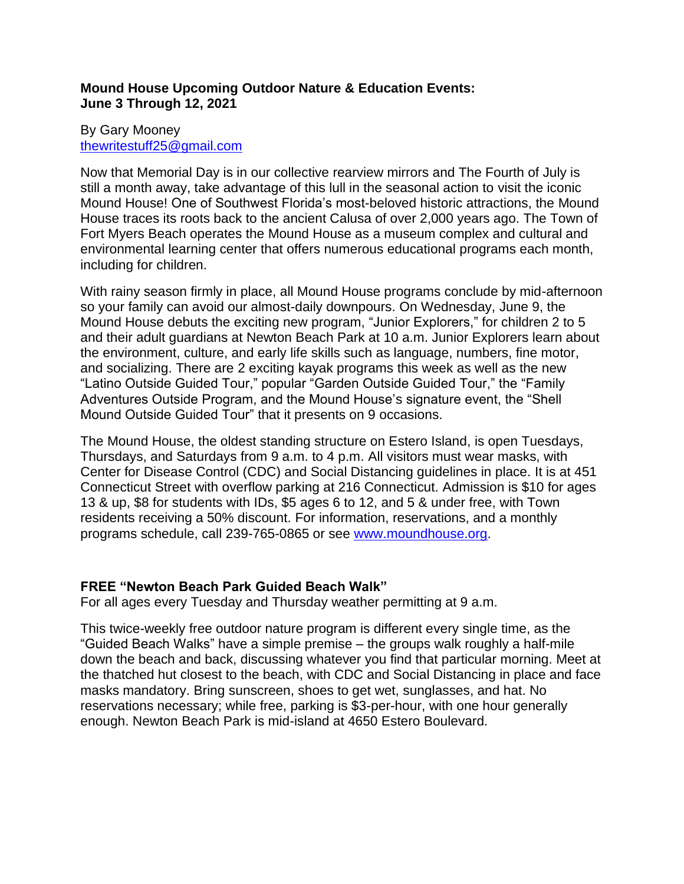## **Mound House Upcoming Outdoor Nature & Education Events: June 3 Through 12, 2021**

## By Gary Mooney [thewritestuff25@gmail.com](mailto:thewritestuff25@gmail.com)

Now that Memorial Day is in our collective rearview mirrors and The Fourth of July is still a month away, take advantage of this lull in the seasonal action to visit the iconic Mound House! One of Southwest Florida's most-beloved historic attractions, the Mound House traces its roots back to the ancient Calusa of over 2,000 years ago. The Town of Fort Myers Beach operates the Mound House as a museum complex and cultural and environmental learning center that offers numerous educational programs each month, including for children.

With rainy season firmly in place, all Mound House programs conclude by mid-afternoon so your family can avoid our almost-daily downpours. On Wednesday, June 9, the Mound House debuts the exciting new program, "Junior Explorers," for children 2 to 5 and their adult guardians at Newton Beach Park at 10 a.m. Junior Explorers learn about the environment, culture, and early life skills such as language, numbers, fine motor, and socializing. There are 2 exciting kayak programs this week as well as the new "Latino Outside Guided Tour," popular "Garden Outside Guided Tour," the "Family Adventures Outside Program, and the Mound House's signature event, the "Shell Mound Outside Guided Tour" that it presents on 9 occasions.

The Mound House, the oldest standing structure on Estero Island, is open Tuesdays, Thursdays, and Saturdays from 9 a.m. to 4 p.m. All visitors must wear masks, with Center for Disease Control (CDC) and Social Distancing guidelines in place. It is at 451 Connecticut Street with overflow parking at 216 Connecticut. Admission is \$10 for ages 13 & up, \$8 for students with IDs, \$5 ages 6 to 12, and 5 & under free, with Town residents receiving a 50% discount. For information, reservations, and a monthly programs schedule, call 239-765-0865 or see [www.moundhouse.org.](http://www.moundhouse.org/)

# **FREE "Newton Beach Park Guided Beach Walk"**

For all ages every Tuesday and Thursday weather permitting at 9 a.m.

This twice-weekly free outdoor nature program is different every single time, as the "Guided Beach Walks" have a simple premise – the groups walk roughly a half-mile down the beach and back, discussing whatever you find that particular morning. Meet at the thatched hut closest to the beach, with CDC and Social Distancing in place and face masks mandatory. Bring sunscreen, shoes to get wet, sunglasses, and hat. No reservations necessary; while free, parking is \$3-per-hour, with one hour generally enough. Newton Beach Park is mid-island at 4650 Estero Boulevard.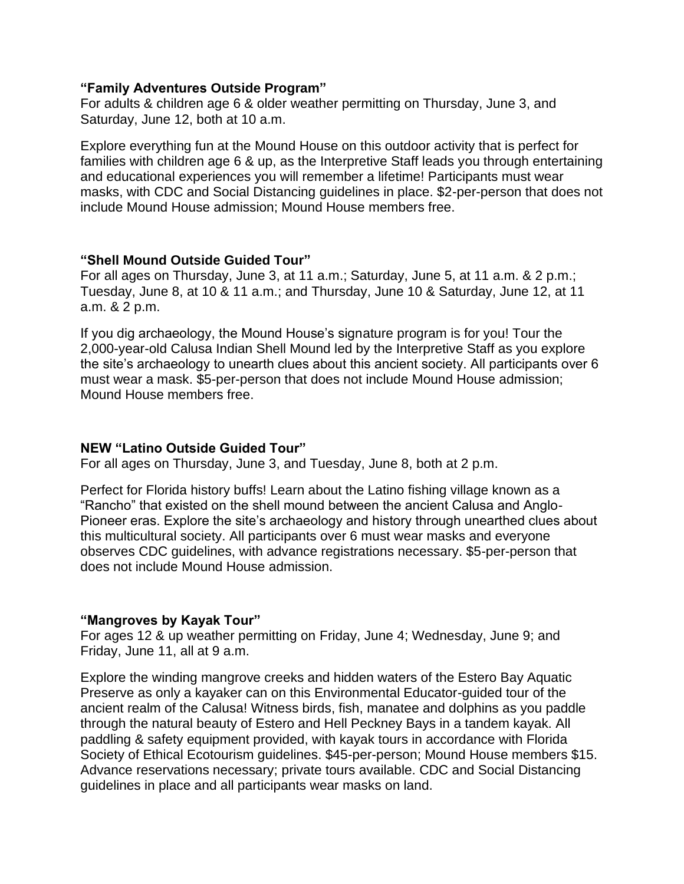#### **"Family Adventures Outside Program"**

For adults & children age 6 & older weather permitting on Thursday, June 3, and Saturday, June 12, both at 10 a.m.

Explore everything fun at the Mound House on this outdoor activity that is perfect for families with children age 6 & up, as the Interpretive Staff leads you through entertaining and educational experiences you will remember a lifetime! Participants must wear masks, with CDC and Social Distancing guidelines in place. \$2-per-person that does not include Mound House admission; Mound House members free.

#### **"Shell Mound Outside Guided Tour"**

For all ages on Thursday, June 3, at 11 a.m.; Saturday, June 5, at 11 a.m. & 2 p.m.; Tuesday, June 8, at 10 & 11 a.m.; and Thursday, June 10 & Saturday, June 12, at 11 a.m. & 2 p.m.

If you dig archaeology, the Mound House's signature program is for you! Tour the 2,000-year-old Calusa Indian Shell Mound led by the Interpretive Staff as you explore the site's archaeology to unearth clues about this ancient society. All participants over 6 must wear a mask. \$5-per-person that does not include Mound House admission; Mound House members free.

#### **NEW "Latino Outside Guided Tour"**

For all ages on Thursday, June 3, and Tuesday, June 8, both at 2 p.m.

Perfect for Florida history buffs! Learn about the Latino fishing village known as a "Rancho" that existed on the shell mound between the ancient Calusa and Anglo-Pioneer eras. Explore the site's archaeology and history through unearthed clues about this multicultural society. All participants over 6 must wear masks and everyone observes CDC guidelines, with advance registrations necessary. \$5-per-person that does not include Mound House admission.

## **"Mangroves by Kayak Tour"**

For ages 12 & up weather permitting on Friday, June 4; Wednesday, June 9; and Friday, June 11, all at 9 a.m.

Explore the winding mangrove creeks and hidden waters of the Estero Bay Aquatic Preserve as only a kayaker can on this Environmental Educator-guided tour of the ancient realm of the Calusa! Witness birds, fish, manatee and dolphins as you paddle through the natural beauty of Estero and Hell Peckney Bays in a tandem kayak. All paddling & safety equipment provided, with kayak tours in accordance with Florida Society of Ethical Ecotourism guidelines. \$45-per-person; Mound House members \$15. Advance reservations necessary; private tours available. CDC and Social Distancing guidelines in place and all participants wear masks on land.